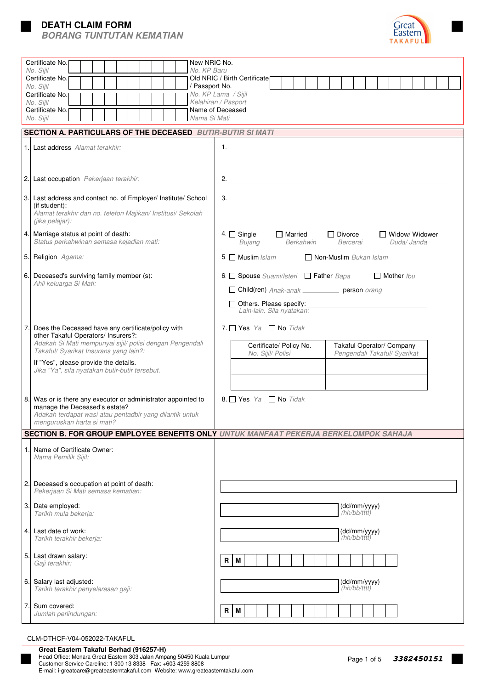# **DEATH CLAIM FORM**





|                                                            | Certificate No.<br>New NRIC No.<br>No. KP Baru<br>No. Sijil                                                                                                                          |                                                                                                                           |  |  |  |  |  |  |  |  |  |  |  |
|------------------------------------------------------------|--------------------------------------------------------------------------------------------------------------------------------------------------------------------------------------|---------------------------------------------------------------------------------------------------------------------------|--|--|--|--|--|--|--|--|--|--|--|
|                                                            | Certificate No.                                                                                                                                                                      | Old NRIC / Birth Certificate                                                                                              |  |  |  |  |  |  |  |  |  |  |  |
|                                                            | No. Sijil<br>/ Passport No.<br>Certificate No.                                                                                                                                       | No. KP Lama / Sijil                                                                                                       |  |  |  |  |  |  |  |  |  |  |  |
|                                                            | No. Siiil<br>Certificate No.                                                                                                                                                         | Kelahiran / Pasport<br>Name of Deceased                                                                                   |  |  |  |  |  |  |  |  |  |  |  |
|                                                            | Nama Si Mati<br>No. Sijil                                                                                                                                                            |                                                                                                                           |  |  |  |  |  |  |  |  |  |  |  |
| SECTION A. PARTICULARS OF THE DECEASED BUTIR-BUTIR SI MATI |                                                                                                                                                                                      |                                                                                                                           |  |  |  |  |  |  |  |  |  |  |  |
| 1.1                                                        | Last address Alamat terakhir:                                                                                                                                                        | 1.                                                                                                                        |  |  |  |  |  |  |  |  |  |  |  |
| 2.                                                         | Last occupation Pekerjaan terakhir:                                                                                                                                                  | 2.                                                                                                                        |  |  |  |  |  |  |  |  |  |  |  |
| 3.                                                         | Last address and contact no. of Employer/ Institute/ School<br>(if student):<br>Alamat terakhir dan no. telefon Majikan/ Institusi/ Sekolah<br>(jika pelajar):                       | 3.                                                                                                                        |  |  |  |  |  |  |  |  |  |  |  |
| 4.                                                         | Marriage status at point of death:<br>Status perkahwinan semasa kejadian mati:                                                                                                       | $4 \square$ Single<br>$\Box$ Married<br>$\Box$ Divorce<br>Widow/Widower<br>Berkahwin<br>Bercerai<br>Duda/ Janda<br>Bujang |  |  |  |  |  |  |  |  |  |  |  |
| 5.                                                         | Religion Agama:                                                                                                                                                                      | $5.$ Muslim <i>Islam</i><br>Non-Muslim Bukan Islam                                                                        |  |  |  |  |  |  |  |  |  |  |  |
| 6.                                                         | Deceased's surviving family member (s):<br>Ahli keluarga Si Mati:                                                                                                                    | 6. Spouse Suami/Isteri □ Father Bapa<br>$\Box$ Mother Ibu                                                                 |  |  |  |  |  |  |  |  |  |  |  |
|                                                            |                                                                                                                                                                                      | Child(ren) Anak-anak ____________ person orang                                                                            |  |  |  |  |  |  |  |  |  |  |  |
|                                                            |                                                                                                                                                                                      | $\Box$ Others. Please specify: $\Box$<br>Lain-lain. Sila nyatakan:                                                        |  |  |  |  |  |  |  |  |  |  |  |
| 7.                                                         | Does the Deceased have any certificate/policy with<br>other Takaful Operators/ Insurers?:                                                                                            | 7. $\Box$ Yes Ya $\Box$ No Tidak                                                                                          |  |  |  |  |  |  |  |  |  |  |  |
|                                                            | Adakah Si Mati mempunyai sijil/ polisi dengan Pengendali<br>Takaful/ Syarikat Insurans yang lain?:                                                                                   | Certificate/ Policy No.<br>Takaful Operator/ Company<br>Pengendali Takaful/ Syarikat<br>No. Sijil/ Polisi                 |  |  |  |  |  |  |  |  |  |  |  |
|                                                            | If "Yes", please provide the details.<br>Jika "Ya", sila nyatakan butir-butir tersebut.                                                                                              |                                                                                                                           |  |  |  |  |  |  |  |  |  |  |  |
|                                                            |                                                                                                                                                                                      |                                                                                                                           |  |  |  |  |  |  |  |  |  |  |  |
| 8.                                                         | Was or is there any executor or administrator appointed to<br>manage the Deceased's estate?<br>Adakah terdapat wasi atau pentadbir yang dilantik untuk<br>menguruskan harta si mati? | 8. Yes Ya $\Box$ No Tidak                                                                                                 |  |  |  |  |  |  |  |  |  |  |  |
|                                                            |                                                                                                                                                                                      | SECTION B. FOR GROUP EMPLOYEE BENEFITS ONLY UNTUK MANFAAT PEKERJA BERKELOMPOK SAHAJA                                      |  |  |  |  |  |  |  |  |  |  |  |
| 1.1                                                        | Name of Certificate Owner:<br>Nama Pemilik Sijil:                                                                                                                                    |                                                                                                                           |  |  |  |  |  |  |  |  |  |  |  |
| 2.                                                         | Deceased's occupation at point of death:<br>Pekerjaan Si Mati semasa kematian:                                                                                                       |                                                                                                                           |  |  |  |  |  |  |  |  |  |  |  |
| 3.                                                         | Date employed:<br>Tarikh mula bekerja:                                                                                                                                               | (dd/mm/yyyy)<br>(hh/bb/tttt)                                                                                              |  |  |  |  |  |  |  |  |  |  |  |
| 4.                                                         | Last date of work:<br>Tarikh terakhir bekerja:                                                                                                                                       | (dd/mm/yyyy)<br>(hh/bb/tttt)                                                                                              |  |  |  |  |  |  |  |  |  |  |  |
| 5.                                                         | Last drawn salary:<br>Gaji terakhir:                                                                                                                                                 | R<br>M                                                                                                                    |  |  |  |  |  |  |  |  |  |  |  |
| 6.                                                         | Salary last adjusted:<br>Tarikh terakhir penyelarasan gaji:                                                                                                                          | (dd/mm/yyyy)<br>(hh/bb/tttt)                                                                                              |  |  |  |  |  |  |  |  |  |  |  |
| 7.                                                         | Sum covered:<br>Jumlah perlindungan:                                                                                                                                                 | M<br>R                                                                                                                    |  |  |  |  |  |  |  |  |  |  |  |

## CLM-DTHCF-V04-052022-TAKAFUL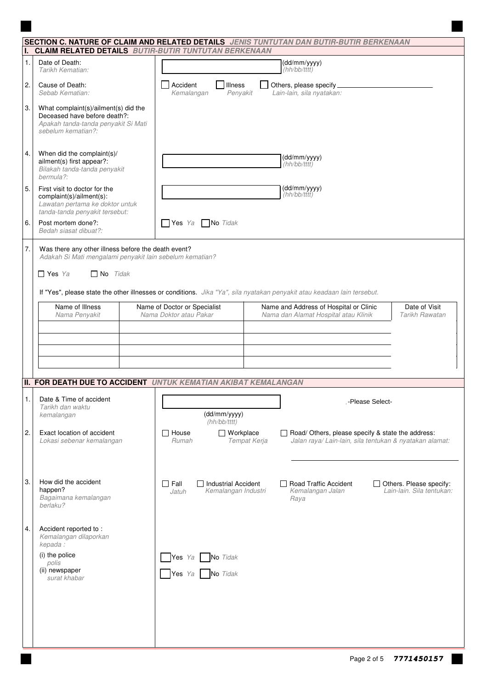|    |                                                                                                                                   | SECTION C. NATURE OF CLAIM AND RELATED DETAILS JENIS TUNTUTAN DAN BUTIR-BUTIR BERKENAAN<br>I. CLAIM RELATED DETAILS BUTIR-BUTIR TUNTUTAN BERKENAAN                                              |  |  |  |  |  |  |
|----|-----------------------------------------------------------------------------------------------------------------------------------|-------------------------------------------------------------------------------------------------------------------------------------------------------------------------------------------------|--|--|--|--|--|--|
| 1. | Date of Death:<br>Tarikh Kematian:                                                                                                | (dd/mm/yyyy)<br>(hh/bb/tttt)                                                                                                                                                                    |  |  |  |  |  |  |
| 2. | Cause of Death:<br>Sebab Kematian:                                                                                                | Accident<br>Illness<br>Others, please specify_<br>Lain-lain, sila nyatakan:<br>Kemalangan<br>Penyakit                                                                                           |  |  |  |  |  |  |
| 3. | What complaint(s)/ailment(s) did the<br>Deceased have before death?:<br>Apakah tanda-tanda penyakit Si Mati<br>sebelum kematian?: |                                                                                                                                                                                                 |  |  |  |  |  |  |
| 4. | When did the complaint(s)/<br>ailment(s) first appear?:<br>Bilakah tanda-tanda penyakit<br>bermula?:                              | (dd/mm/yyyy)<br>(hh/bb/tttt)                                                                                                                                                                    |  |  |  |  |  |  |
| 5. | First visit to doctor for the<br>complaint(s)/ailment(s):<br>Lawatan pertama ke doktor untuk<br>tanda-tanda penyakit tersebut:    | (dd/mm/yyyy)<br>(hh/bb/tttt)                                                                                                                                                                    |  |  |  |  |  |  |
| 6. | Post mortem done?:<br>Bedah siasat dibuat?:                                                                                       | No Tidak<br><b>Yes</b> Ya                                                                                                                                                                       |  |  |  |  |  |  |
| 7. | Was there any other illness before the death event?<br>$\Box$ Yes Ya<br>$\Box$ No Tidak                                           | Adakah Si Mati mengalami penyakit lain sebelum kematian?<br>If "Yes", please state the other illnesses or conditions. Jika "Ya", sila nyatakan penyakit atau keadaan lain tersebut.             |  |  |  |  |  |  |
|    | Name of Illness<br>Nama Penyakit                                                                                                  | Name of Doctor or Specialist<br>Name and Address of Hospital or Clinic<br>Date of Visit<br>Nama Doktor atau Pakar<br>Nama dan Alamat Hospital atau Klinik<br>Tarikh Rawatan                     |  |  |  |  |  |  |
|    |                                                                                                                                   |                                                                                                                                                                                                 |  |  |  |  |  |  |
|    |                                                                                                                                   |                                                                                                                                                                                                 |  |  |  |  |  |  |
|    |                                                                                                                                   | <b>II. FOR DEATH DUE TO ACCIDENT UNTUK KEMATIAN AKIBAT KEMALANGAN</b>                                                                                                                           |  |  |  |  |  |  |
| 1. | Date & Time of accident<br>Tarikh dan waktu<br>kemalangan                                                                         | -Please Select-<br>(dd/mm/yyyy)<br>(hh/bb/tttt)                                                                                                                                                 |  |  |  |  |  |  |
| 2. | Exact location of accident<br>Lokasi sebenar kemalangan                                                                           | $\Box$ House<br>$\Box$ Workplace<br>Road/ Others, please specify & state the address:<br>Jalan raya/ Lain-lain, sila tentukan & nyatakan alamat:<br>Rumah<br>Tempat Kerja                       |  |  |  |  |  |  |
| 3. | How did the accident<br>happen?<br>Bagaimana kemalangan<br>berlaku?                                                               | $\Box$ Fall<br>$\Box$ Industrial Accident<br>□ Road Traffic Accident<br>$\Box$ Others. Please specify:<br>Lain-lain. Sila tentukan:<br>Kemalangan Industri<br>Kemalangan Jalan<br>Jatuh<br>Raya |  |  |  |  |  |  |
| 4. | Accident reported to:<br>Kemalangan dilaporkan<br>kepada:                                                                         |                                                                                                                                                                                                 |  |  |  |  |  |  |
|    | (i) the police<br>polis<br>(ii) newspaper<br>surat khabar                                                                         | Yes Ya No Tidak<br>Yes Ya No Tidak                                                                                                                                                              |  |  |  |  |  |  |
|    |                                                                                                                                   |                                                                                                                                                                                                 |  |  |  |  |  |  |
|    |                                                                                                                                   |                                                                                                                                                                                                 |  |  |  |  |  |  |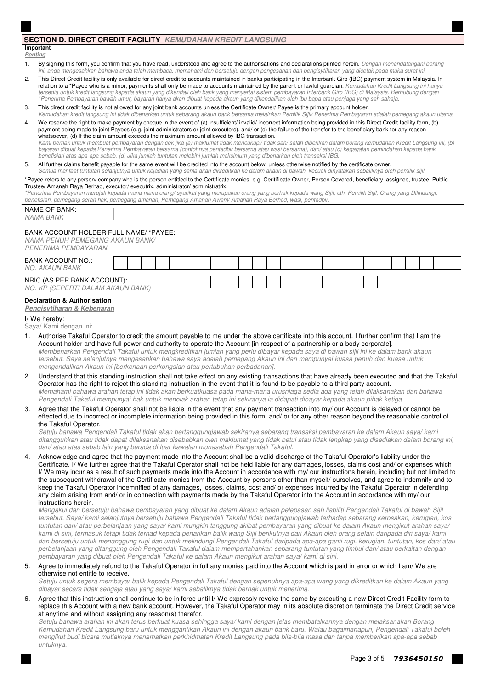| <b>SECTION D. DIRECT CREDIT FACILITY KEMUDAHAN KREDIT LANGSUNG</b><br>Important                                                                                                          |                                                                                                                                                                                                                                                                                                                                                                                                                                           |  |  |  |  |  |  |  |  |  |  |  |  |  |  |  |  |  |
|------------------------------------------------------------------------------------------------------------------------------------------------------------------------------------------|-------------------------------------------------------------------------------------------------------------------------------------------------------------------------------------------------------------------------------------------------------------------------------------------------------------------------------------------------------------------------------------------------------------------------------------------|--|--|--|--|--|--|--|--|--|--|--|--|--|--|--|--|--|
| <b>Penting</b><br>By signing this form, you confirm that you have read, understood and agree to the authorisations and declarations printed herein. Dengan menandatangani borang         |                                                                                                                                                                                                                                                                                                                                                                                                                                           |  |  |  |  |  |  |  |  |  |  |  |  |  |  |  |  |  |
| 1.                                                                                                                                                                                       | ini, anda mengesahkan bahawa anda telah membaca, memahami dan bersetuju dengan pengesahan dan pengisytiharan yang dicetak pada muka surat ini.                                                                                                                                                                                                                                                                                            |  |  |  |  |  |  |  |  |  |  |  |  |  |  |  |  |  |
| 2.                                                                                                                                                                                       | This Direct Credit facility is only available for direct credit to accounts maintained in banks participating in the Interbank Giro (IBG) payment system in Malaysia. In<br>relation to a *Payee who is a minor, payments shall only be made to accounts maintained by the parent or lawful guardian. Kemudahan Kredit Langsung ini hanya                                                                                                 |  |  |  |  |  |  |  |  |  |  |  |  |  |  |  |  |  |
|                                                                                                                                                                                          | tersedia untuk kredit langsung kepada akaun yang dikendali oleh bank yang menyertai sistem pembayaran Interbank Giro (IBG) di Malaysia. Berhubung dengan<br>*Penerima Pembayaran bawah umur, bayaran hanya akan dibuat kepada akaun yang dikendalikan oleh ibu bapa atau penjaga yang sah sahaja.                                                                                                                                         |  |  |  |  |  |  |  |  |  |  |  |  |  |  |  |  |  |
| 3.                                                                                                                                                                                       | This direct credit facility is not allowed for any joint bank accounts unless the Certificate Owner/ Payee is the primary account holder.<br>Kemudahan kredit langsung ini tidak dibenarkan untuk sebarang akaun bank bersama melainkan Pemilik Sijil/ Penerima Pembayaran adalah pemegang akaun utama.                                                                                                                                   |  |  |  |  |  |  |  |  |  |  |  |  |  |  |  |  |  |
| 4.                                                                                                                                                                                       | We reserve the right to make payment by cheque in the event of (a) insufficient/ invalid/ incorrect information being provided in this Direct Credit facility form, (b)                                                                                                                                                                                                                                                                   |  |  |  |  |  |  |  |  |  |  |  |  |  |  |  |  |  |
|                                                                                                                                                                                          | payment being made to joint Payees (e.g. joint administrators or joint executors), and/ or (c) the failure of the transfer to the beneficiary bank for any reason<br>whatsoever, (d) If the claim amount exceeds the maximum amount allowed by IBG transaction.                                                                                                                                                                           |  |  |  |  |  |  |  |  |  |  |  |  |  |  |  |  |  |
|                                                                                                                                                                                          | Kami berhak untuk membuat pembayaran dengan cek jika (a) maklumat tidak mencukupi/ tidak sah/salah diberikan dalam borang kemudahan Kredit Langsung ini, (b)<br>bayaran dibuat kepada Penerima Pembayaran bersama (contohnya pentadbir bersama atau wasi bersama), dan/atau (c) kegagalan pemindahan kepada bank<br>benefisiari atas apa-apa sebab, (d) Jika jumlah tuntutan melebihi jumlah maksimum yang dibenarkan oleh transaksi IBG. |  |  |  |  |  |  |  |  |  |  |  |  |  |  |  |  |  |
| 5.                                                                                                                                                                                       | All further claims benefit payable for the same event will be credited into the account below, unless otherwise notified by the certificate owner.<br>Semua manfaat tuntutan selanjutnya untuk kejadian yang sama akan dikreditkan ke dalam akaun di bawah, kecuali dinyatakan sebaliknya oleh pemilik sijil.                                                                                                                             |  |  |  |  |  |  |  |  |  |  |  |  |  |  |  |  |  |
|                                                                                                                                                                                          | *Payee refers to any person/company who is the person entitled to the Certificate monies, e.g. Ceritificate Owner, Person Covered, beneficiary, assignee, trustee, Public<br>Trustee/ Amanah Raya Berhad, executor/ executrix, administrator/ administratrix.                                                                                                                                                                             |  |  |  |  |  |  |  |  |  |  |  |  |  |  |  |  |  |
|                                                                                                                                                                                          | *Penerima Pembayaran merujuk kepada mana-mana orang/ syarikat yang merupakan orang yang berhak kepada wang Sijil, cth. Pemilik Sijil, Orang yang Dilindungi,<br>benefisiari, pemegang serah hak, pemegang amanah, Pemegang Amanah Awam/ Amanah Haya Berhad, wasi, pentadbir.                                                                                                                                                              |  |  |  |  |  |  |  |  |  |  |  |  |  |  |  |  |  |
|                                                                                                                                                                                          | NAME OF BANK:                                                                                                                                                                                                                                                                                                                                                                                                                             |  |  |  |  |  |  |  |  |  |  |  |  |  |  |  |  |  |
|                                                                                                                                                                                          | NAMA BANK                                                                                                                                                                                                                                                                                                                                                                                                                                 |  |  |  |  |  |  |  |  |  |  |  |  |  |  |  |  |  |
| BANK ACCOUNT HOLDER FULL NAME/ *PAYEE:<br>NAMA PENUH PEMEGANG AKAUN BANK/                                                                                                                |                                                                                                                                                                                                                                                                                                                                                                                                                                           |  |  |  |  |  |  |  |  |  |  |  |  |  |  |  |  |  |
|                                                                                                                                                                                          | PENERIMA PEMBAYARAN                                                                                                                                                                                                                                                                                                                                                                                                                       |  |  |  |  |  |  |  |  |  |  |  |  |  |  |  |  |  |
|                                                                                                                                                                                          | <b>BANK ACCOUNT NO.:</b><br><b>NO. AKAUN BANK</b>                                                                                                                                                                                                                                                                                                                                                                                         |  |  |  |  |  |  |  |  |  |  |  |  |  |  |  |  |  |
|                                                                                                                                                                                          | NRIC (AS PER BANK ACCOUNT):                                                                                                                                                                                                                                                                                                                                                                                                               |  |  |  |  |  |  |  |  |  |  |  |  |  |  |  |  |  |
|                                                                                                                                                                                          | NO. KP (SEPERTI DALAM AKAUN BANK)                                                                                                                                                                                                                                                                                                                                                                                                         |  |  |  |  |  |  |  |  |  |  |  |  |  |  |  |  |  |
|                                                                                                                                                                                          | <b>Declaration &amp; Authorisation</b><br>Pengisytiharan & Kebenaran                                                                                                                                                                                                                                                                                                                                                                      |  |  |  |  |  |  |  |  |  |  |  |  |  |  |  |  |  |
| I/We hereby:<br>Saya/ Kami dengan ini:                                                                                                                                                   |                                                                                                                                                                                                                                                                                                                                                                                                                                           |  |  |  |  |  |  |  |  |  |  |  |  |  |  |  |  |  |
| 1.                                                                                                                                                                                       | Authorise Takaful Operator to credit the amount payable to me under the above certificate into this account. I further confirm that I am the                                                                                                                                                                                                                                                                                              |  |  |  |  |  |  |  |  |  |  |  |  |  |  |  |  |  |
|                                                                                                                                                                                          | Account holder and have full power and authority to operate the Account [in respect of a partnership or a body corporate].<br>Membenarkan Pengendali Takaful untuk mengkreditkan jumlah yang perlu dibayar kepada saya di bawah sijil ini ke dalam bank akaun                                                                                                                                                                             |  |  |  |  |  |  |  |  |  |  |  |  |  |  |  |  |  |
|                                                                                                                                                                                          | tersebut. Saya selanjutnya mengesahkan bahawa saya adalah pemegang Akaun ini dan mempunyai kuasa penuh dan kuasa untuk                                                                                                                                                                                                                                                                                                                    |  |  |  |  |  |  |  |  |  |  |  |  |  |  |  |  |  |
| 2.                                                                                                                                                                                       | mengendalikan Akaun ini [berkenaan perkongsian atau pertubuhan perbadanan].<br>Understand that this standing instruction shall not take effect on any existing transactions that have already been executed and that the Takaful                                                                                                                                                                                                          |  |  |  |  |  |  |  |  |  |  |  |  |  |  |  |  |  |
|                                                                                                                                                                                          | Operator has the right to reject this standing instruction in the event that it is found to be payable to a third party account.<br>Memahami bahawa arahan tetap ini tidak akan berkuatkuasa pada mana-mana urusniaga sedia ada yang telah dilaksanakan dan bahawa                                                                                                                                                                        |  |  |  |  |  |  |  |  |  |  |  |  |  |  |  |  |  |
|                                                                                                                                                                                          | Pengendali Takaful mempunyai hak untuk menolak arahan tetap ini sekiranya ia didapati dibayar kepada akaun pihak ketiga.                                                                                                                                                                                                                                                                                                                  |  |  |  |  |  |  |  |  |  |  |  |  |  |  |  |  |  |
| 3.                                                                                                                                                                                       | Agree that the Takaful Operator shall not be liable in the event that any payment transaction into my/ our Account is delayed or cannot be<br>effected due to incorrect or incomplete information being provided in this form, and/ or for any other reason beyond the reasonable control of                                                                                                                                              |  |  |  |  |  |  |  |  |  |  |  |  |  |  |  |  |  |
|                                                                                                                                                                                          | the Takaful Operator.<br>Setuju bahawa Pengendali Takaful tidak akan bertanggungjawab sekiranya sebarang transaksi pembayaran ke dalam Akaun saya/kami                                                                                                                                                                                                                                                                                    |  |  |  |  |  |  |  |  |  |  |  |  |  |  |  |  |  |
|                                                                                                                                                                                          | ditangguhkan atau tidak dapat dilaksanakan disebabkan oleh maklumat yang tidak betul atau tidak lengkap yang disediakan dalam borang ini,                                                                                                                                                                                                                                                                                                 |  |  |  |  |  |  |  |  |  |  |  |  |  |  |  |  |  |
| 4.                                                                                                                                                                                       | dan/atau atas sebab lain yang berada di luar kawalan munasabah Pengendali Takaful.<br>Acknowledge and agree that the payment made into the Account shall be a valid discharge of the Takaful Operator's liability under the                                                                                                                                                                                                               |  |  |  |  |  |  |  |  |  |  |  |  |  |  |  |  |  |
|                                                                                                                                                                                          | Certificate. I/ We further agree that the Takaful Operator shall not be held liable for any damages, losses, claims cost and/ or expenses which                                                                                                                                                                                                                                                                                           |  |  |  |  |  |  |  |  |  |  |  |  |  |  |  |  |  |
|                                                                                                                                                                                          | I/ We may incur as a result of such payments made into the Account in accordance with my/ our instructions herein, including but not limited to<br>the subsequent withdrawal of the Certificate monies from the Account by persons other than myself/ ourselves, and agree to indemnify and to                                                                                                                                            |  |  |  |  |  |  |  |  |  |  |  |  |  |  |  |  |  |
|                                                                                                                                                                                          | keep the Takaful Operator indemnified of any damages, losses, claims, cost and/ or expenses incurred by the Takaful Operator in defending<br>any claim arising from and/ or in connection with payments made by the Takaful Operator into the Account in accordance with my/ our                                                                                                                                                          |  |  |  |  |  |  |  |  |  |  |  |  |  |  |  |  |  |
|                                                                                                                                                                                          | instructions herein.                                                                                                                                                                                                                                                                                                                                                                                                                      |  |  |  |  |  |  |  |  |  |  |  |  |  |  |  |  |  |
|                                                                                                                                                                                          | Mengakui dan bersetuju bahawa pembayaran yang dibuat ke dalam Akaun adalah pelepasan sah liabiliti Pengendali Takaful di bawah Sijil<br>tersebut. Saya/ kami selanjutnya bersetuju bahawa Pengendali Takaful tidak bertanggungjawab terhadap sebarang kerosakan, kerugian, kos                                                                                                                                                            |  |  |  |  |  |  |  |  |  |  |  |  |  |  |  |  |  |
|                                                                                                                                                                                          | tuntutan dan/atau perbelanjaan yang saya/kami mungkin tanggung akibat pembayaran yang dibuat ke dalam Akaun mengikut arahan saya/                                                                                                                                                                                                                                                                                                         |  |  |  |  |  |  |  |  |  |  |  |  |  |  |  |  |  |
|                                                                                                                                                                                          | kami di sini, termasuk tetapi tidak terhad kepada penarikan balik wang Sijil berikutnya dari Akaun oleh orang selain daripada diri saya/ kami                                                                                                                                                                                                                                                                                             |  |  |  |  |  |  |  |  |  |  |  |  |  |  |  |  |  |
|                                                                                                                                                                                          | dan bersetuju untuk menanggung rugi dan untuk melindungi Pengendali Takaful daripada apa-apa ganti rugi, kerugian, tuntutan, kos dan/atau<br>perbelanjaan yang ditanggung oleh Pengendali Takaful dalam mempertahankan sebarang tuntutan yang timbul dan/atau berkaitan dengan<br>pembayaran yang dibuat oleh Pengendali Takaful ke dalam Akaun mengikut arahan saya/ kami di sini.                                                       |  |  |  |  |  |  |  |  |  |  |  |  |  |  |  |  |  |
| 5.                                                                                                                                                                                       | Agree to immediately refund to the Takaful Operator in full any monies paid into the Account which is paid in error or which I am/ We are                                                                                                                                                                                                                                                                                                 |  |  |  |  |  |  |  |  |  |  |  |  |  |  |  |  |  |
|                                                                                                                                                                                          | otherwise not entitle to receive.<br>Setuju untuk segera membayar balik kepada Pengendali Takaful dengan sepenuhnya apa-apa wang yang dikreditkan ke dalam Akaun yang                                                                                                                                                                                                                                                                     |  |  |  |  |  |  |  |  |  |  |  |  |  |  |  |  |  |
|                                                                                                                                                                                          | dibayar secara tidak sengaja atau yang saya/ kami sebaliknya tidak berhak untuk menerima.                                                                                                                                                                                                                                                                                                                                                 |  |  |  |  |  |  |  |  |  |  |  |  |  |  |  |  |  |
|                                                                                                                                                                                          | Agree that this instruction shall continue to be in force until I/ We expressly revoke the same by executing a new Direct Credit Facility form to<br>6.<br>replace this Account with a new bank account. However, the Takaful Operator may in its absolute discretion terminate the Direct Credit service                                                                                                                                 |  |  |  |  |  |  |  |  |  |  |  |  |  |  |  |  |  |
| at anytime and without assigning any reason(s) therefor.<br>Setuju bahawa arahan ini akan terus berkuat kuasa sehingga saya/ kami dengan jelas membatalkannya dengan melaksanakan Borang |                                                                                                                                                                                                                                                                                                                                                                                                                                           |  |  |  |  |  |  |  |  |  |  |  |  |  |  |  |  |  |
|                                                                                                                                                                                          | Kemudahan Kredit Langsung baru untuk menggantikan Akaun ini dengan akaun bank baru. Walau bagaimanapun, Pengendali Takaful boleh<br>mengikut budi bicara mutlaknya menamatkan perkhidmatan Kredit Langsung pada bila-bila masa dan tanpa memberikan apa-apa sebab                                                                                                                                                                         |  |  |  |  |  |  |  |  |  |  |  |  |  |  |  |  |  |
|                                                                                                                                                                                          | untuknya.                                                                                                                                                                                                                                                                                                                                                                                                                                 |  |  |  |  |  |  |  |  |  |  |  |  |  |  |  |  |  |

 $\blacksquare$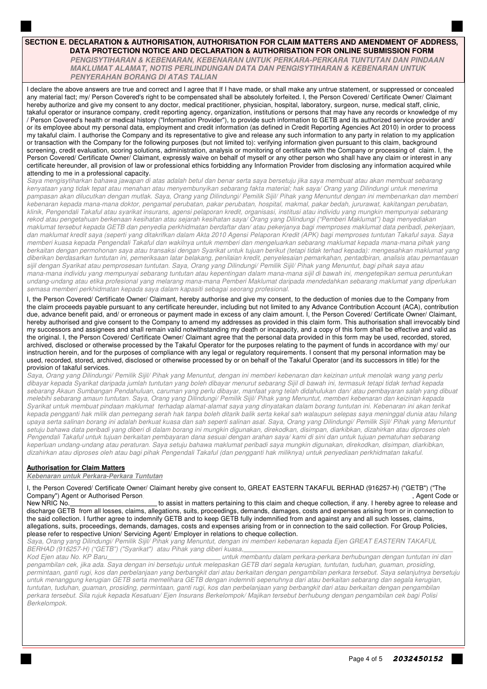## **SECTION E. DECLARATION & AUTHORISATION, AUTHORISATION FOR CLAIM MATTERS AND AMENDMENT OF ADDRESS, DATA PROTECTION NOTICE AND DECLARATION & AUTHORISATION FOR ONLINE SUBMISSION FORM**

 **PENGISYTIHARAN & KEBENARAN, KEBENARAN UNTUK PERKARA-PERKARA TUNTUTAN DAN PINDAAN MAKLUMAT ALAMAT, NOTIS PERLINDUNGAN DATA DAN PENGISYTIHARAN & KEBENARAN UNTUK PENYERAHAN BORANG DI ATAS TALIAN**

I declare the above answers are true and correct and I agree that If I have made, or shall make any untrue statement, or suppressed or concealed any material fact; my/ Person Covered's right to be compensated shall be absolutely forfeited. I, the Person Covered/ Certificate Owner/ Claimant hereby authorize and give my consent to any doctor, medical practitioner, physician, hospital, laboratory, surgeon, nurse, medical staff, clinic, takaful operator or insurance company, credit reporting agency, organization, institutions or persons that may have any records or knowledge of my / Person Covered's health or medical history ("Information Provider"), to provide such information to GETB and its authorized service provider and/ or its employee about my personal data, employment and credit information (as defined in Credit Reporting Agencies Act 2010) in order to process my takaful claim. I authorise the Company and its representative to give and release any such information to any party in relation to my application or transaction with the Company for the following purposes (but not limited to): verifying information given pursuant to this claim, background screening, credit evaluation, scoring solutions, administration, analysis or monitoring of certificate with the Company or processing of claim. I, the Person Covered/ Certificate Owner/ Claimant, expressly waive on behalf of myself or any other person who shall have any claim or interest in any certificate hereunder, all provision of law or professional ethics forbidding any Information Provider from disclosing any information acquired while attending to me in a professional capacity.

*Saya mengisytiharkan bahawa jawapan di atas adalah betul dan benar serta saya bersetuju jika saya membuat atau akan membuat sebarang kenyataan yang tidak tepat atau menahan atau menyembunyikan sebarang fakta material; hak saya/ Orang yang Dilindungi untuk menerima pampasan akan dilucutkan dengan mutlak. Saya, Orang yang Dilindungi/ Pemilik Sijil/ Pihak yang Menuntut dengan ini membenarkan dan memberi kebenaran kepada mana-mana doktor, pengamal perubatan, pakar perubatan, hospital, makmal, pakar bedah, jururawat, kakitangan perubatan, klinik, Pengendali Takaful atau syarikat insurans, agensi pelaporan kredit, organisasi, institusi atau individu yang mungkin mempunyai sebarang rekod atau pengetahuan berkenaan kesihatan atau sejarah kesihatan saya/ Orang yang Dilindungi ("Pemberi Maklumat") bagi menyediakan maklumat tersebut kepada GETB dan penyedia perkhidmatan berdaftar dan/ atau pekerjanya bagi memproses maklumat data peribadi, pekerjaan, dan maklumat kredit saya (seperti yang ditakrifkan dalam Akta 2010 Agensi Pelaporan Kredit (APK) bagi memproses tuntutan Takaful saya. Saya memberi kuasa kepada Pengendali Takaful dan wakilnya untuk memberi dan mengeluarkan sebarang maklumat kepada mana-mana pihak yang berkaitan dengan permohonan saya atau transaksi dengan Syarikat untuk tujuan berikut (tetapi tidak terhad kepada): mengesahkan maklumat yang diberikan berdasarkan tuntutan ini, pemeriksaan latar belakang, penilaian kredit, penyelesaian pemarkahan, pentadbiran, analisis atau pemantauan sijil dengan Syarikat atau pemprosesan tuntutan. Saya, Orang yang Dilindungi/ Pemilik Sijil/ Pihak yang Menuntut, bagi pihak saya atau mana-mana individu yang mempunyai sebarang tuntutan atau kepentingan dalam mana-mana sijil di bawah ini, mengetepikan semua peruntukan undang-undang atau etika profesional yang melarang mana-mana Pemberi Maklumat daripada mendedahkan sebarang maklumat yang diperlukan semasa memberi perkhidmatan kepada saya dalam kapasiti sebagai seorang profesional.*

I, the Person Covered/ Certificate Owner/ Claimant, hereby authorise and give my consent, to the deduction of monies due to the Company from the claim proceeds payable pursuant to any certificate hereunder, including but not limited to any Advance Contribution Account (ACA), contribution due, advance benefit paid, and/ or erroneous or payment made in excess of any claim amount. I, the Person Covered/ Certificate Owner/ Claimant, hereby authorised and give consent to the Company to amend my addresses as provided in this claim form. This authorisation shall irrevocably bind my successors and assignees and shall remain valid notwithstanding my death or incapacity, and a copy of this form shall be effective and valid as the original. I, the Person Covered/ Certificate Owner/ Claimant agree that the personal data provided in this form may be used, recorded, stored, archived, disclosed or otherwise processed by the Takaful Operator for the purposes relating to the payment of funds in accordance with my/ our instruction herein, and for the purposes of compliance with any legal or regulatory requirements. I consent that my personal information may be used, recorded, stored, archived, disclosed or otherwise processed by or on behalf of the Takaful Operator (and its successors in title) for the provision of takaful services.

*Saya, Orang yang Dilindungi/ Pemilik Sijil/ Pihak yang Menuntut, dengan ini memberi kebenaran dan keizinan untuk menolak wang yang perlu dibayar kepada Syarikat daripada jumlah tuntutan yang boleh dibayar menurut sebarang Sijil di bawah ini, termasuk tetapi tidak terhad kepada sebarang Akaun Sumbangan Pendahuluan, caruman yang perlu dibayar, manfaat yang telah didahulukan dan/ atau pembayaran salah yang dibuat melebihi sebarang amaun tuntutan. Saya, Orang yang Dilindungi/ Pemilik Sijil/ Pihak yang Menuntut, memberi kebenaran dan keizinan kepada Syarikat untuk membuat pindaan maklumat terhadap alamat-alamat saya yang dinyatakan dalam borang tuntutan ini. Kebenaran ini akan terikat kepada pengganti hak milik dan pemegang serah hak tanpa boleh ditarik balik serta kekal sah walaupun selepas saya meninggal dunia atau hilang upaya serta salinan borang ini adalah berkuat kuasa dan sah seperti salinan asal. Saya, Orang yang Dilindungi/ Pemilik Sijil/ Pihak yang Menuntut setuju bahawa data peribadi yang diberi di dalam borang ini mungkin digunakan, direkodkan, disimpan, diarkibkan, dizahirkan atau diproses oleh Pengendali Takaful untuk tujuan berkaitan pembayaran dana sesuai dengan arahan saya/ kami di sini dan untuk tujuan pematuhan sebarang keperluan undang-undang atau peraturan. Saya setuju bahawa maklumat peribadi saya mungkin digunakan, direkodkan, disimpan, diarkibkan, dizahirkan atau diproses oleh atau bagi pihak Pengendali Takaful (dan pengganti hak miliknya) untuk penyediaan perkhidmatan takaful.*

## **Authorisation for Claim Matters**

**Kebenaran untuk Perkara-Perkara Tuntutan**

I, the Person Covered/ Certificate Owner/ Claimant hereby give consent to, GREAT EASTERN TAKAFUL BERHAD (916257-H) ("GETB") ("The Company") Agent or Authorised Person.<br>New NRIC No.

to assist in matters pertaining to this claim and cheque collection, if any. I hereby agree to release and discharge GETB from all losses, claims, allegations, suits, proceedings, demands, damages, costs and expenses arising from or in connection to the said collection. I further agree to indemnify GETB and to keep GETB fully indemnified from and against any and all such losses, claims, allegations, suits, proceedings, demands, damages, costs and expenses arising from or in connection to the said collection. For Group Policies, please refer to respective Union/ Servicing Agent/ Employer in relations to cheque collection.

*Saya, Orang yang Dilindungi/ Pemilik Sijil/ Pihak yang Menuntut, dengan ini memberi kebenaran kepada Ejen GREAT EASTERN TAKAFUL BERHAD (916257-H) ("GETB") ("Syarikat") atau Pihak yang diberi kuasa,*

*Kod Ejen atau No. KP Baru untuk membantu dalam perkara-perkara berhubungan dengan tuntutan ini dan pengambilan cek, jika ada. Saya dengan ini bersetuju untuk melepaskan GETB dari segala kerugian, tuntutan, tuduhan, guaman, prosiding, permintaan, ganti rugi, kos dan perbelanjaan yang berbangkit dari atau berkaitan dengan pengambilan perkara tersebut. Saya selanjutnya bersetuju untuk menanggung kerugian GETB serta memelihara GETB dengan indemniti sepenuhnya dari atau berkaitan sebarang dan segala kerugian, tuntutan, tuduhan, guaman, prosiding, permintaan, ganti rugi, kos dan perbelanjaan yang berbangkit dari atau berkaitan dengan pengambilan perkara tersebut. Sila rujuk kepada Kesatuan/ Ejen Insurans Berkelompok/ Majikan tersebut berhubung dengan pengambilan cek bagi Polisi Berkelompok.*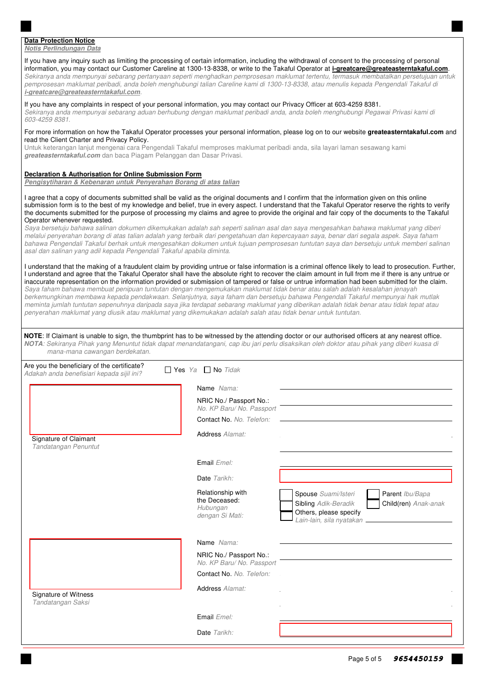### **Data Protection Notice**

#### **Notis Perlindungan Data**

| ivuus r ciilluulluall Dala<br>If you have any inquiry such as limiting the processing of certain information, including the withdrawal of consent to the processing of personal<br>pemprosesan maklumat peribadi, anda boleh menghubungi talian Careline kami di 1300-13-8338, atau menulis kepada Pengendali Takaful di<br>i-greatcare@greateasterntakaful.com.                                                                                                                                                                                                                                                                                                                                                                                                                        |                                                                   | information, you may contact our Customer Careline at 1300-13-8338, or write to the Takaful Operator at <i>i-greatcare@greateasterntakaful.com</i> .<br>Sekiranya anda mempunyai sebarang pertanyaan seperti menghadkan pemprosesan maklumat tertentu, termasuk membatalkan persetujuan untuk                                                                                                                                                                                                                                                                                                                                                                                                                                                                                                                                                                                                                                                                                                                                                                                                                                                                                                     |  |  |  |  |  |  |
|-----------------------------------------------------------------------------------------------------------------------------------------------------------------------------------------------------------------------------------------------------------------------------------------------------------------------------------------------------------------------------------------------------------------------------------------------------------------------------------------------------------------------------------------------------------------------------------------------------------------------------------------------------------------------------------------------------------------------------------------------------------------------------------------|-------------------------------------------------------------------|---------------------------------------------------------------------------------------------------------------------------------------------------------------------------------------------------------------------------------------------------------------------------------------------------------------------------------------------------------------------------------------------------------------------------------------------------------------------------------------------------------------------------------------------------------------------------------------------------------------------------------------------------------------------------------------------------------------------------------------------------------------------------------------------------------------------------------------------------------------------------------------------------------------------------------------------------------------------------------------------------------------------------------------------------------------------------------------------------------------------------------------------------------------------------------------------------|--|--|--|--|--|--|
| If you have any complaints in respect of your personal information, you may contact our Privacy Officer at 603-4259 8381.<br>Sekiranya anda mempunyai sebarang aduan berhubung dengan maklumat peribadi anda, anda boleh menghubungi Pegawai Privasi kami di<br>603-4259 8381.                                                                                                                                                                                                                                                                                                                                                                                                                                                                                                          |                                                                   |                                                                                                                                                                                                                                                                                                                                                                                                                                                                                                                                                                                                                                                                                                                                                                                                                                                                                                                                                                                                                                                                                                                                                                                                   |  |  |  |  |  |  |
| For more information on how the Takaful Operator processes your personal information, please log on to our website greateasterntakaful.com and<br>read the Client Charter and Privacy Policy.<br>Untuk keterangan lanjut mengenai cara Pengendali Takaful memproses maklumat peribadi anda, sila layari laman sesawang kami<br>greateasterntakaful.com dan baca Piagam Pelanggan dan Dasar Privasi.                                                                                                                                                                                                                                                                                                                                                                                     |                                                                   |                                                                                                                                                                                                                                                                                                                                                                                                                                                                                                                                                                                                                                                                                                                                                                                                                                                                                                                                                                                                                                                                                                                                                                                                   |  |  |  |  |  |  |
| Declaration & Authorisation for Online Submission Form<br>Pengisytiharan & Kebenaran untuk Penyerahan Borang di atas talian                                                                                                                                                                                                                                                                                                                                                                                                                                                                                                                                                                                                                                                             |                                                                   |                                                                                                                                                                                                                                                                                                                                                                                                                                                                                                                                                                                                                                                                                                                                                                                                                                                                                                                                                                                                                                                                                                                                                                                                   |  |  |  |  |  |  |
| I agree that a copy of documents submitted shall be valid as the original documents and I confirm that the information given on this online<br>Operator whenever requested.<br>melalui penyerahan borang di atas talian adalah yang terbaik dari pengetahuan dan kepercayaan saya, benar dari segala aspek. Saya faham<br>asal dan salinan yang adil kepada Pengendali Takaful apabila diminta.<br>Saya faham bahawa membuat penipuan tuntutan dengan mengemukakan maklumat tidak benar atau salah adalah kesalahan jenayah<br>meminta jumlah tuntutan sepenuhnya daripada saya jika terdapat sebarang maklumat yang diberikan adalah tidak benar atau tidak tepat atau<br>penyerahan maklumat yang diusik atau maklumat yang dikemukakan adalah salah atau tidak benar untuk tuntutan. |                                                                   | submission form is to the best of my knowledge and belief, true in every aspect. I understand that the Takaful Operator reserve the rights to verify<br>the documents submitted for the purpose of processing my claims and agree to provide the original and fair copy of the documents to the Takaful<br>Saya bersetuju bahawa salinan dokumen dikemukakan adalah sah seperti salinan asal dan saya mengesahkan bahawa maklumat yang diberi<br>bahawa Pengendali Takaful berhak untuk mengesahkan dokumen untuk tujuan pemprosesan tuntutan saya dan bersetuju untuk memberi salinan<br>I understand that the making of a fraudulent claim by providing untrue or false information is a criminal offence likely to lead to prosecution. Further,<br>I understand and agree that the Takaful Operator shall have the absolute right to recover the claim amount in full from me if there is any untrue or<br>inaccurate representation on the information provided or submission of tampered or false or untrue information had been submitted for the claim.<br>berkemungkinan membawa kepada pendakwaan. Selanjutnya, saya faham dan bersetuju bahawa Pengendali Takaful mempunyai hak mutlak |  |  |  |  |  |  |
| NOTA: Sekiranya Pihak yang Menuntut tidak dapat menandatangani, cap ibu jari perlu disaksikan oleh doktor atau pihak yang diberi kuasa di<br>mana-mana cawangan berdekatan.                                                                                                                                                                                                                                                                                                                                                                                                                                                                                                                                                                                                             |                                                                   | NOTE: If Claimant is unable to sign, the thumbprint has to be witnessed by the attending doctor or our authorised officers at any nearest office.                                                                                                                                                                                                                                                                                                                                                                                                                                                                                                                                                                                                                                                                                                                                                                                                                                                                                                                                                                                                                                                 |  |  |  |  |  |  |
| Are you the beneficiary of the certificate?<br>Adakah anda benefisiari kepada sijil ini?                                                                                                                                                                                                                                                                                                                                                                                                                                                                                                                                                                                                                                                                                                | $\Box$ Yes Ya $\Box$ No Tidak                                     |                                                                                                                                                                                                                                                                                                                                                                                                                                                                                                                                                                                                                                                                                                                                                                                                                                                                                                                                                                                                                                                                                                                                                                                                   |  |  |  |  |  |  |
|                                                                                                                                                                                                                                                                                                                                                                                                                                                                                                                                                                                                                                                                                                                                                                                         | Name Nama:<br>NRIC No./ Passport No.:<br>No. KP Baru/No. Passport |                                                                                                                                                                                                                                                                                                                                                                                                                                                                                                                                                                                                                                                                                                                                                                                                                                                                                                                                                                                                                                                                                                                                                                                                   |  |  |  |  |  |  |
|                                                                                                                                                                                                                                                                                                                                                                                                                                                                                                                                                                                                                                                                                                                                                                                         | Contact No. No. Telefon:                                          |                                                                                                                                                                                                                                                                                                                                                                                                                                                                                                                                                                                                                                                                                                                                                                                                                                                                                                                                                                                                                                                                                                                                                                                                   |  |  |  |  |  |  |
| Signature of Claimant<br>Tandatangan Penuntut                                                                                                                                                                                                                                                                                                                                                                                                                                                                                                                                                                                                                                                                                                                                           | <b>Address Alamat:</b>                                            |                                                                                                                                                                                                                                                                                                                                                                                                                                                                                                                                                                                                                                                                                                                                                                                                                                                                                                                                                                                                                                                                                                                                                                                                   |  |  |  |  |  |  |
|                                                                                                                                                                                                                                                                                                                                                                                                                                                                                                                                                                                                                                                                                                                                                                                         | Email <i>Emel:</i>                                                |                                                                                                                                                                                                                                                                                                                                                                                                                                                                                                                                                                                                                                                                                                                                                                                                                                                                                                                                                                                                                                                                                                                                                                                                   |  |  |  |  |  |  |
|                                                                                                                                                                                                                                                                                                                                                                                                                                                                                                                                                                                                                                                                                                                                                                                         | Date Tarikh:                                                      |                                                                                                                                                                                                                                                                                                                                                                                                                                                                                                                                                                                                                                                                                                                                                                                                                                                                                                                                                                                                                                                                                                                                                                                                   |  |  |  |  |  |  |
|                                                                                                                                                                                                                                                                                                                                                                                                                                                                                                                                                                                                                                                                                                                                                                                         | Relationship with<br>the Deceased:<br>Hubungan<br>dengan Si Mati: | Spouse Suami/Isteri<br>Parent Ibu/Bapa<br><b>Sibling Adik-Beradik</b><br>Child(ren) Anak-anak<br>Others, please specify<br>Lain-lain, sila nyatakan -                                                                                                                                                                                                                                                                                                                                                                                                                                                                                                                                                                                                                                                                                                                                                                                                                                                                                                                                                                                                                                             |  |  |  |  |  |  |
|                                                                                                                                                                                                                                                                                                                                                                                                                                                                                                                                                                                                                                                                                                                                                                                         | Name Nama:                                                        |                                                                                                                                                                                                                                                                                                                                                                                                                                                                                                                                                                                                                                                                                                                                                                                                                                                                                                                                                                                                                                                                                                                                                                                                   |  |  |  |  |  |  |
|                                                                                                                                                                                                                                                                                                                                                                                                                                                                                                                                                                                                                                                                                                                                                                                         | NRIC No./ Passport No.:<br>No. KP Baru/No. Passport               |                                                                                                                                                                                                                                                                                                                                                                                                                                                                                                                                                                                                                                                                                                                                                                                                                                                                                                                                                                                                                                                                                                                                                                                                   |  |  |  |  |  |  |
|                                                                                                                                                                                                                                                                                                                                                                                                                                                                                                                                                                                                                                                                                                                                                                                         | Contact No. No. Telefon:                                          |                                                                                                                                                                                                                                                                                                                                                                                                                                                                                                                                                                                                                                                                                                                                                                                                                                                                                                                                                                                                                                                                                                                                                                                                   |  |  |  |  |  |  |
| Signature of Witness<br>Tandatangan Saksi                                                                                                                                                                                                                                                                                                                                                                                                                                                                                                                                                                                                                                                                                                                                               | <b>Address Alamat:</b>                                            |                                                                                                                                                                                                                                                                                                                                                                                                                                                                                                                                                                                                                                                                                                                                                                                                                                                                                                                                                                                                                                                                                                                                                                                                   |  |  |  |  |  |  |
|                                                                                                                                                                                                                                                                                                                                                                                                                                                                                                                                                                                                                                                                                                                                                                                         | Email <i>Emel:</i>                                                |                                                                                                                                                                                                                                                                                                                                                                                                                                                                                                                                                                                                                                                                                                                                                                                                                                                                                                                                                                                                                                                                                                                                                                                                   |  |  |  |  |  |  |
|                                                                                                                                                                                                                                                                                                                                                                                                                                                                                                                                                                                                                                                                                                                                                                                         | Date Tarikh:                                                      |                                                                                                                                                                                                                                                                                                                                                                                                                                                                                                                                                                                                                                                                                                                                                                                                                                                                                                                                                                                                                                                                                                                                                                                                   |  |  |  |  |  |  |